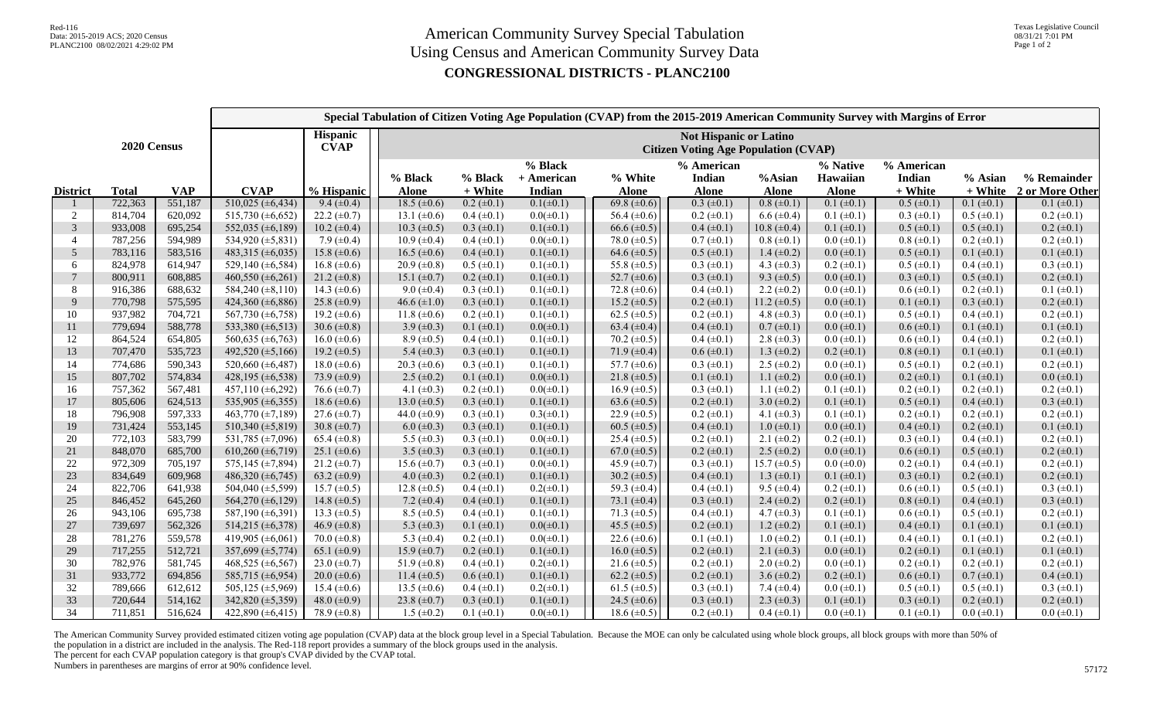|                 |              | Special Tabulation of Citizen Voting Age Population (CVAP) from the 2015-2019 American Community Survey with Margins of Error |                               |                                |                                                                              |                    |                                 |                         |                                             |                        |                                      |                                     |                    |                                |
|-----------------|--------------|-------------------------------------------------------------------------------------------------------------------------------|-------------------------------|--------------------------------|------------------------------------------------------------------------------|--------------------|---------------------------------|-------------------------|---------------------------------------------|------------------------|--------------------------------------|-------------------------------------|--------------------|--------------------------------|
| 2020 Census     |              |                                                                                                                               |                               | <b>Hispanic</b><br><b>CVAP</b> | <b>Not Hispanic or Latino</b><br><b>Citizen Voting Age Population (CVAP)</b> |                    |                                 |                         |                                             |                        |                                      |                                     |                    |                                |
| <b>District</b> | <b>Total</b> | <b>VAP</b>                                                                                                                    | <b>CVAP</b>                   | % Hispanic                     | % Black<br><b>Alone</b>                                                      | % Black<br>+ White | % Black<br>+ American<br>Indian | % White<br><b>Alone</b> | % American<br><b>Indian</b><br><b>Alone</b> | %Asian<br><b>Alone</b> | % Native<br>Hawaiian<br><b>Alone</b> | % American<br>Indian<br>$\pm$ White | % Asian<br>+ White | % Remainder<br>2 or More Other |
|                 | 722,363      | 551,187                                                                                                                       | $510,025 \ (\pm 6,434)$       | $9.4 (\pm 0.4)$                | 18.5 $(\pm 0.6)$                                                             | $0.2 \ (\pm 0.1)$  | $0.1(\pm 0.1)$                  | 69.8 $(\pm 0.6)$        | $0.3 \ (\pm 0.1)$                           | $0.8 (\pm 0.1)$        | $0.1 (\pm 0.1)$                      | $0.5 (\pm 0.1)$                     | $0.1 (\pm 0.1)$    | $0.1 (\pm 0.1)$                |
| 2               | 814,704      | 620,092                                                                                                                       | 515,730 $(\pm 6,652)$         | 22.2 $(\pm 0.7)$               | 13.1 $(\pm 0.6)$                                                             | $0.4 (\pm 0.1)$    | $0.0(\pm 0.1)$                  | 56.4 $(\pm 0.6)$        | $0.2 \ (\pm 0.1)$                           | $6.6 \ (\pm 0.4)$      | $0.1 (\pm 0.1)$                      | $0.3 \ (\pm 0.1)$                   | $0.5 \ (\pm 0.1)$  | $0.2 \ (\pm 0.1)$              |
| 3               | 933,008      | 695,254                                                                                                                       | 552,035 (±6,189)              | $10.2 \ (\pm 0.4)$             | 10.3 $(\pm 0.5)$                                                             | $0.3 \ (\pm 0.1)$  | $0.1(\pm 0.1)$                  | 66.6 $(\pm 0.5)$        | $0.4 (\pm 0.1)$                             | $10.8 (\pm 0.4)$       | $0.1 (\pm 0.1)$                      | $0.5 \ (\pm 0.1)$                   | $0.5 \ (\pm 0.1)$  | $0.2 \ (\pm 0.1)$              |
| $\overline{4}$  | 787,256      | 594,989                                                                                                                       | $\overline{534,920}$ (±5,831) | 7.9 $(\pm 0.4)$                | $10.9 \ (\pm 0.4)$                                                           | $0.4 (\pm 0.1)$    | $0.0(\pm 0.1)$                  | 78.0 $(\pm 0.5)$        | $0.7 (\pm 0.1)$                             | $0.8 (\pm 0.1)$        | $0.0$ ( $\pm 0.1$ )                  | $0.8 (\pm 0.1)$                     | $0.2 \ (\pm 0.1)$  | $0.2 (\pm 0.1)$                |
| 5               | 783,116      | 583,516                                                                                                                       | 483,315 $(\pm 6,035)$         | $15.8 (\pm 0.6)$               | 16.5 $(\pm 0.6)$                                                             | $0.4 (\pm 0.1)$    | $0.1(\pm 0.1)$                  | 64.6 $(\pm 0.5)$        | $0.5 (\pm 0.1)$                             | $1.4 \ (\pm 0.2)$      | $0.0 \ (\pm 0.1)$                    | $0.5 (\pm 0.1)$                     | $0.1 (\pm 0.1)$    | $0.1 (\pm 0.1)$                |
| 6               | 824,978      | 614,947                                                                                                                       | 529,140 $(\pm 6, 584)$        | 16.8 $(\pm 0.6)$               | $20.9 \ (\pm 0.8)$                                                           | $0.5 \ (\pm 0.1)$  | $0.1(\pm 0.1)$                  | 55.8 $(\pm 0.5)$        | $0.3 \ (\pm 0.1)$                           | 4.3 $(\pm 0.3)$        | $0.2 \ (\pm 0.1)$                    | $0.5 \ (\pm 0.1)$                   | $0.4 (\pm 0.1)$    | $0.3 \ (\pm 0.1)$              |
| $\overline{7}$  | 800,911      | 608,885                                                                                                                       | 460,550 $(\pm 6, 261)$        | 21.2 $(\pm 0.8)$               | 15.1 $(\pm 0.7)$                                                             | $0.2 \ (\pm 0.1)$  | $0.1(\pm 0.1)$                  | 52.7 $(\pm 0.6)$        | $0.3 \ (\pm 0.1)$                           | 9.3 $(\pm 0.5)$        | $0.0 \ (\pm 0.1)$                    | $0.3 \ (\pm 0.1)$                   | $0.5 \ (\pm 0.1)$  | $0.2 \ (\pm 0.1)$              |
| 8               | 916,386      | 688,632                                                                                                                       | 584,240 ( $\pm$ 8,110)        | 14.3 $(\pm 0.6)$               | 9.0 $(\pm 0.4)$                                                              | $0.3 \ (\pm 0.1)$  | $0.1(\pm 0.1)$                  | 72.8 $(\pm 0.6)$        | $0.4 (\pm 0.1)$                             | 2.2 $(\pm 0.2)$        | $0.0 \ (\pm 0.1)$                    | $0.6 (\pm 0.1)$                     | $0.2 \ (\pm 0.1)$  | $0.1 (\pm 0.1)$                |
| $\mathbf{Q}$    | 770,798      | 575,595                                                                                                                       | 424,360 (±6,886)              | 25.8 $(\pm 0.9)$               | 46.6 $(\pm 1.0)$                                                             | $0.3 \ (\pm 0.1)$  | $0.1(\pm 0.1)$                  | 15.2 $(\pm 0.5)$        | $0.2 \ (\pm 0.1)$                           | 11.2 $(\pm 0.5)$       | $0.0 (\pm 0.1)$                      | $0.1 (\pm 0.1)$                     | $0.3 \ (\pm 0.1)$  | $0.2 \ (\pm 0.1)$              |
| 10              | 937,982      | 704,721                                                                                                                       | 567,730 (±6,758)              | 19.2 $(\pm 0.6)$               | 11.8 $(\pm 0.6)$                                                             | $0.2 \ (\pm 0.1)$  | $0.1(\pm 0.1)$                  | 62.5 $(\pm 0.5)$        | $0.2 \ (\pm 0.1)$                           | 4.8 $(\pm 0.3)$        | $0.0$ ( $\pm 0.1$ )                  | $0.5 (\pm 0.1)$                     | $0.4 (\pm 0.1)$    | $0.2 (\pm 0.1)$                |
| 11              | 779,694      | 588,778                                                                                                                       | 533,380 $(\pm 6, 513)$        | 30.6 $(\pm 0.8)$               | 3.9 $(\pm 0.3)$                                                              | $0.1 (\pm 0.1)$    | $0.0(\pm 0.1)$                  | 63.4 $(\pm 0.4)$        | $0.4 (\pm 0.1)$                             | $0.7 (\pm 0.1)$        | $0.0 \ (\pm 0.1)$                    | $0.6 (\pm 0.1)$                     | $0.1 (\pm 0.1)$    | $0.1 (\pm 0.1)$                |
| 12              | 864,524      | 654,805                                                                                                                       | 560,635 $(\pm 6, 763)$        | 16.0 $(\pm 0.6)$               | $8.9 \ (\pm 0.5)$                                                            | $0.4 (\pm 0.1)$    | $0.1(\pm 0.1)$                  | 70.2 $(\pm 0.5)$        | $0.4 (\pm 0.1)$                             | 2.8 $(\pm 0.3)$        | $0.0 \ (\pm 0.1)$                    | $0.6 (\pm 0.1)$                     | $0.4 (\pm 0.1)$    | $0.2 \ (\pm 0.1)$              |
| 13              | 707,470      | 535,723                                                                                                                       | 492,520 $(\pm 5, 166)$        | 19.2 $(\pm 0.5)$               | 5.4 $(\pm 0.3)$                                                              | $0.3 \ (\pm 0.1)$  | $0.1(\pm 0.1)$                  | 71.9 $(\pm 0.4)$        | $0.6 (\pm 0.1)$                             | $1.3 \ (\pm 0.2)$      | $0.2 \ (\pm 0.1)$                    | $0.8 (\pm 0.1)$                     | $0.1 (\pm 0.1)$    | $0.1 (\pm 0.1)$                |
| 14              | 774,686      | 590,343                                                                                                                       | 520,660 $(\pm 6,487)$         | 18.0 $(\pm 0.6)$               | 20.3 $(\pm 0.6)$                                                             | $0.3 \ (\pm 0.1)$  | $0.1(\pm 0.1)$                  | 57.7 $(\pm 0.6)$        | $0.3 \ (\pm 0.1)$                           | $2.5 \ (\pm 0.2)$      | $0.0 \ (\pm 0.1)$                    | $0.5 (\pm 0.1)$                     | $0.2 \ (\pm 0.1)$  | $0.2 (\pm 0.1)$                |
| 15              | 807,702      | 574,834                                                                                                                       | 428,195 (±6,538)              | 73.9 $(\pm 0.9)$               | 2.5 $(\pm 0.2)$                                                              | $0.1 (\pm 0.1)$    | $0.0(\pm 0.1)$                  | 21.8 $(\pm 0.5)$        | $0.1 (\pm 0.1)$                             | 1.1 $(\pm 0.2)$        | $0.0 \ (\pm 0.1)$                    | $0.2 \ (\pm 0.1)$                   | $0.1 (\pm 0.1)$    | $0.0 \ (\pm 0.1)$              |
| 16              | 757,362      | 567,481                                                                                                                       | 457,110 ( $\pm$ 6,292)        | 76.6 $(\pm 0.7)$               | 4.1 $(\pm 0.3)$                                                              | $0.2 \ (\pm 0.1)$  | $0.0(\pm 0.1)$                  | 16.9 $(\pm 0.5)$        | $0.3 \ (\pm 0.1)$                           | 1.1 $(\pm 0.2)$        | $0.1 (\pm 0.1)$                      | $0.2 \ (\pm 0.1)$                   | $0.2 \ (\pm 0.1)$  | $0.2 \ (\pm 0.1)$              |
| 17              | 805,606      | 624,513                                                                                                                       | 535,905 $(\pm 6,355)$         | 18.6 $(\pm 0.6)$               | 13.0 $(\pm 0.5)$                                                             | $0.3 \ (\pm 0.1)$  | $0.1(\pm 0.1)$                  | 63.6 $(\pm 0.5)$        | $0.2 \ (\pm 0.1)$                           | 3.0 $(\pm 0.2)$        | $0.1 (\pm 0.1)$                      | $0.5 \ (\pm 0.1)$                   | $0.4 (\pm 0.1)$    | $0.3 \ (\pm 0.1)$              |
| 18              | 796,908      | 597,333                                                                                                                       | 463,770 (±7,189)              | 27.6 $(\pm 0.7)$               | 44.0 $(\pm 0.9)$                                                             | $0.3 \ (\pm 0.1)$  | $0.3(\pm 0.1)$                  | 22.9 $(\pm 0.5)$        | $0.2 \ (\pm 0.1)$                           | 4.1 $(\pm 0.3)$        | $0.1 (\pm 0.1)$                      | $0.2 \ (\pm 0.1)$                   | $0.2 \ (\pm 0.1)$  | $0.2 \ (\pm 0.1)$              |
| 19              | 731,424      | 553,145                                                                                                                       | 510,340 ( $\pm$ 5,819)        | 30.8 $(\pm 0.7)$               | $6.0 \ (\pm 0.3)$                                                            | $0.3 \ (\pm 0.1)$  | $0.1(\pm 0.1)$                  | 60.5 $(\pm 0.5)$        | $0.4 (\pm 0.1)$                             | $1.0 \ (\pm 0.1)$      | $0.0 \ (\pm 0.1)$                    | $0.4 (\pm 0.1)$                     | $0.2 \ (\pm 0.1)$  | $0.1 (\pm 0.1)$                |
| 20              | 772,103      | 583,799                                                                                                                       | 531,785 (±7,096)              | 65.4 $(\pm 0.8)$               | 5.5 $(\pm 0.3)$                                                              | $0.3 \ (\pm 0.1)$  | $0.0(\pm 0.1)$                  | 25.4 $(\pm 0.5)$        | $0.2 \ (\pm 0.1)$                           | 2.1 $(\pm 0.2)$        | $0.2 \ (\pm 0.1)$                    | $0.3 \ (\pm 0.1)$                   | $0.4 (\pm 0.1)$    | $0.2 \ (\pm 0.1)$              |
| 21              | 848,070      | 685,700                                                                                                                       | 610,260 $(\pm 6, 719)$        | 25.1 $(\pm 0.6)$               | 3.5 $(\pm 0.3)$                                                              | $0.3 \ (\pm 0.1)$  | $0.1(\pm 0.1)$                  | 67.0 $(\pm 0.5)$        | $0.2 \ (\pm 0.1)$                           | $2.5 \ (\pm 0.2)$      | $0.0 (\pm 0.1)$                      | $0.6 (\pm 0.1)$                     | $0.5 \ (\pm 0.1)$  | $0.2 \ (\pm 0.1)$              |
| 22              | 972,309      | 705,197                                                                                                                       | 575,145 (±7,894)              | 21.2 $(\pm 0.7)$               | 15.6 $(\pm 0.7)$                                                             | $0.3 \ (\pm 0.1)$  | $0.0(\pm 0.1)$                  | 45.9 $(\pm 0.7)$        | $0.3 \ (\pm 0.1)$                           | 15.7 $(\pm 0.5)$       | $0.0 (\pm 0.0)$                      | $0.2 \ (\pm 0.1)$                   | $0.4 (\pm 0.1)$    | $0.2 \ (\pm 0.1)$              |
| 23              | 834,649      | 609,968                                                                                                                       | 486,320 $(\pm 6, 745)$        | 63.2 $(\pm 0.9)$               | 4.0 $(\pm 0.3)$                                                              | $0.2 \ (\pm 0.1)$  | $0.1(\pm 0.1)$                  | 30.2 $(\pm 0.5)$        | $0.4 (\pm 0.1)$                             | $1.3 \ (\pm 0.1)$      | $0.1 (\pm 0.1)$                      | $0.3 \ (\pm 0.1)$                   | $0.2 \ (\pm 0.1)$  | $0.2 \ (\pm 0.1)$              |
| 24              | 822,706      | 641,938                                                                                                                       | 504,040 $(\pm 5,599)$         | 15.7 $(\pm 0.5)$               | 12.8 $(\pm 0.5)$                                                             | $0.4~(\pm 0.1)$    | $0.2(\pm 0.1)$                  | 59.3 $(\pm 0.4)$        | $0.4 (\pm 0.1)$                             | 9.5 $(\pm 0.4)$        | $0.2 \ (\pm 0.1)$                    | $0.6 (\pm 0.1)$                     | $0.5 (\pm 0.1)$    | $0.3 (\pm 0.1)$                |
| 25              | 846,452      | 645,260                                                                                                                       | 564,270 $(\pm 6, 129)$        | 14.8 $(\pm 0.5)$               | 7.2 $(\pm 0.4)$                                                              | $0.4 (\pm 0.1)$    | $0.1(\pm 0.1)$                  | 73.1 $(\pm 0.4)$        | $0.3 (\pm 0.1)$                             | 2.4 $(\pm 0.2)$        | $0.2 \ (\pm 0.1)$                    | $0.8 (\pm 0.1)$                     | $0.4 (\pm 0.1)$    | $0.3 \ (\pm 0.1)$              |
| 26              | 943,106      | 695,738                                                                                                                       | 587,190 (±6,391)              | 13.3 $(\pm 0.5)$               | $8.5 \ (\pm 0.5)$                                                            | $0.4 (\pm 0.1)$    | $0.1(\pm 0.1)$                  | 71.3 $(\pm 0.5)$        | $0.4~(\pm 0.1)$                             | 4.7 $(\pm 0.3)$        | $0.1 (\pm 0.1)$                      | $0.6 (\pm 0.1)$                     | $0.5 (\pm 0.1)$    | $0.2 \ (\pm 0.1)$              |
| 27              | 739,697      | 562,326                                                                                                                       | 514,215 ( $\pm$ 6,378)        | 46.9 $(\pm 0.8)$               | 5.3 $(\pm 0.3)$                                                              | $0.1 (\pm 0.1)$    | $0.0(\pm 0.1)$                  | 45.5 $(\pm 0.5)$        | $0.2 \ (\pm 0.1)$                           | 1.2 $(\pm 0.2)$        | $0.1 (\pm 0.1)$                      | $0.4 (\pm 0.1)$                     | $0.1 (\pm 0.1)$    | $0.1 (\pm 0.1)$                |
| 28              | 781,276      | 559,578                                                                                                                       | $\overline{419,905}$ (±6,061) | 70.0 $(\pm 0.8)$               | 5.3 $(\pm 0.4)$                                                              | $0.2 \ (\pm 0.1)$  | $0.0(\pm 0.1)$                  | 22.6 $(\pm 0.6)$        | $0.1 (\pm 0.1)$                             | $1.0 \ (\pm 0.2)$      | $0.1 (\pm 0.1)$                      | $0.4 (\pm 0.1)$                     | $0.1 (\pm 0.1)$    | $0.2 \ (\pm 0.1)$              |
| 29              | 717,255      | 512,721                                                                                                                       | $357,699 \ (\pm 5,774)$       | 65.1 $(\pm 0.9)$               | 15.9 $(\pm 0.7)$                                                             | $0.2 \ (\pm 0.1)$  | $0.1(\pm 0.1)$                  | $16.0 \ (\pm 0.5)$      | $0.2 \ (\pm 0.1)$                           | 2.1 $(\pm 0.3)$        | $0.0 \ (\pm 0.1)$                    | $0.2 \ (\pm 0.1)$                   | $0.1 (\pm 0.1)$    | $0.1 (\pm 0.1)$                |
| 30              | 782,976      | 581,745                                                                                                                       | 468,525 (±6,567)              | 23.0 $(\pm 0.7)$               | 51.9 $(\pm 0.8)$                                                             | $0.4 (\pm 0.1)$    | $0.2(\pm 0.1)$                  | 21.6 $(\pm 0.5)$        | $0.2 \ (\pm 0.1)$                           | $2.0 \ (\pm 0.2)$      | $0.0$ ( $\pm 0.1$ )                  | $0.2 \ (\pm 0.1)$                   | $0.2 \ (\pm 0.1)$  | $0.2 (\pm 0.1)$                |
| 31              | 933,772      | 694,856                                                                                                                       | 585,715 (±6,954)              | $20.0 \ (\pm 0.6)$             | 11.4 $(\pm 0.5)$                                                             | $0.6 (\pm 0.1)$    | $0.1(\pm 0.1)$                  | 62.2 $(\pm 0.5)$        | $0.2 \ (\pm 0.1)$                           | 3.6 $(\pm 0.2)$        | $0.2 \ (\pm 0.1)$                    | $0.6 (\pm 0.1)$                     | $0.7 (\pm 0.1)$    | $0.4 \ (\pm 0.1)$              |
| 32              | 789,666      | 612,612                                                                                                                       | 505,125 $(\pm 5,969)$         | 15.4 $(\pm 0.6)$               | 13.5 $(\pm 0.6)$                                                             | $0.4~(\pm 0.1)$    | $0.2(\pm 0.1)$                  | 61.5 $(\pm 0.5)$        | $0.3 \ (\pm 0.1)$                           | 7.4 $(\pm 0.4)$        | $0.0 \ (\pm 0.1)$                    | $0.5 \ (\pm 0.1)$                   | $0.5 \ (\pm 0.1)$  | $0.3 \ (\pm 0.1)$              |
| 33              | 720,644      | 514,162                                                                                                                       | 342,820 (±5,359)              | 48.0 $(\pm 0.9)$               | 23.8 $(\pm 0.7)$                                                             | $0.3 \ (\pm 0.1)$  | $0.1(\pm 0.1)$                  | 24.5 $(\pm 0.6)$        | $0.3 \ (\pm 0.1)$                           | 2.3 $(\pm 0.3)$        | $0.1 (\pm 0.1)$                      | $0.3 \ (\pm 0.1)$                   | $0.2 \ (\pm 0.1)$  | $0.2 \ (\pm 0.1)$              |
| 34              | 711,851      | 516,624                                                                                                                       | 422,890 $(\pm 6, 415)$        | 78.9 $(\pm 0.8)$               | $1.5 \ (\pm 0.2)$                                                            | $0.1 (\pm 0.1)$    | $0.0(\pm 0.1)$                  | 18.6 $(\pm 0.5)$        | $0.2 \ (\pm 0.1)$                           | $0.4 (\pm 0.1)$        | $0.0 \ (\pm 0.1)$                    | $0.1 (\pm 0.1)$                     | $0.0~(\pm 0.1)$    | $0.0 \ (\pm 0.1)$              |

The American Community Survey provided estimated citizen voting age population (CVAP) data at the block group level in a Special Tabulation. Because the MOE can only be calculated using whole block groups, all block groups the population in a district are included in the analysis. The Red-118 report provides a summary of the block groups used in the analysis.

The percent for each CVAP population category is that group's CVAP divided by the CVAP total.

Numbers in parentheses are margins of error at 90% confidence level.